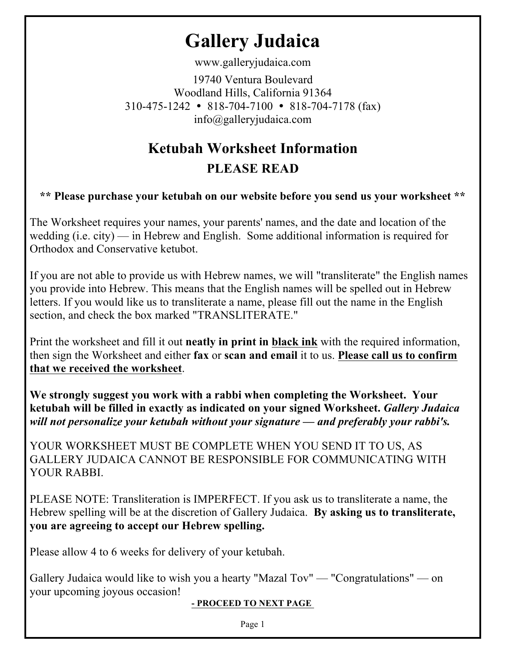## **Gallery Judaica**

www.galleryjudaica.com

19740 Ventura Boulevard Woodland Hills, California 91364  $310-475-1242$  • 818-704-7100 • 818-704-7178 (fax) info@galleryjudaica.com

## **Ketubah Worksheet Information**

## **PLEASE READ**

**\*\* Please purchase your ketubah on our website before you send us your worksheet \*\*** 

The Worksheet requires your names, your parents' names, and the date and location of the wedding (i.e. city) — in Hebrew and English. Some additional information is required for Orthodox and Conservative ketubot.

If you are not able to provide us with Hebrew names, we will "transliterate" the English names you provide into Hebrew. This means that the English names will be spelled out in Hebrew letters. If you would like us to transliterate a name, please fill out the name in the English section, and check the box marked "TRANSLITERATE."

Print the worksheet and fill it out **neatly in print in black ink** with the required information, then sign the Worksheet and either **fax** or **scan and email** it to us. **Please call us to confirm that we received the worksheet**.

**We strongly suggest you work with a rabbi when completing the Worksheet. Your ketubah will be filled in exactly as indicated on your signed Worksheet.** *Gallery Judaica will not personalize your ketubah without your signature — and preferably your rabbi's.* 

YOUR WORKSHEET MUST BE COMPLETE WHEN YOU SEND IT TO US, AS GALLERY JUDAICA CANNOT BE RESPONSIBLE FOR COMMUNICATING WITH YOUR RABBL

PLEASE NOTE: Transliteration is IMPERFECT. If you ask us to transliterate a name, the Hebrew spelling will be at the discretion of Gallery Judaica. **By asking us to transliterate, you are agreeing to accept our Hebrew spelling.** 

Please allow 4 to 6 weeks for delivery of your ketubah.

Gallery Judaica would like to wish you a hearty "Mazal Tov" — "Congratulations" — on your upcoming joyous occasion!

**- PROCEED TO NEXT PAGE** 

Page 1